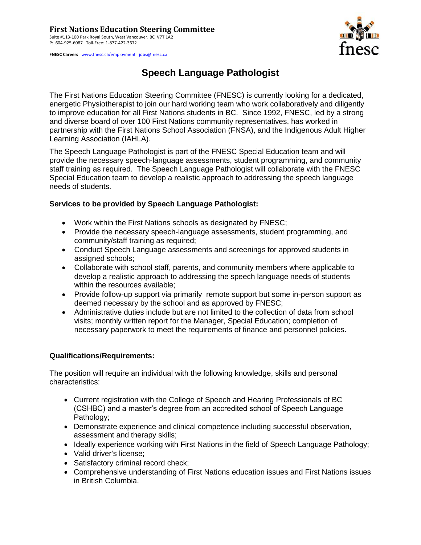## **First Nations Education Steering Committee**

Suite #113-100 Park Royal South, West Vancouver, BC V7T 1A2 P: 604-925-6087 Toll-Free: 1-877-422-3672

**FNESC Careers** [www.fnesc.ca/employment](http://www.fnesc.ca/employment) [jobs@fnesc.ca](mailto:jobs@fnesc.ca) 



# **Speech Language Pathologist**

The First Nations Education Steering Committee (FNESC) is currently looking for a dedicated, energetic Physiotherapist to join our hard working team who work collaboratively and diligently to improve education for all First Nations students in BC. Since 1992, FNESC, led by a strong and diverse board of over 100 First Nations community representatives, has worked in partnership with the First Nations School Association (FNSA), and the Indigenous Adult Higher Learning Association (IAHLA).

The Speech Language Pathologist is part of the FNESC Special Education team and will provide the necessary speech-language assessments, student programming, and community staff training as required. The Speech Language Pathologist will collaborate with the FNESC Special Education team to develop a realistic approach to addressing the speech language needs of students.

## **Services to be provided by Speech Language Pathologist:**

- Work within the First Nations schools as designated by FNESC;
- Provide the necessary speech-language assessments, student programming, and community/staff training as required;
- Conduct Speech Language assessments and screenings for approved students in assigned schools;
- Collaborate with school staff, parents, and community members where applicable to develop a realistic approach to addressing the speech language needs of students within the resources available;
- Provide follow-up support via primarily remote support but some in-person support as deemed necessary by the school and as approved by FNESC;
- Administrative duties include but are not limited to the collection of data from school visits; monthly written report for the Manager, Special Education; completion of necessary paperwork to meet the requirements of finance and personnel policies.

## **Qualifications/Requirements:**

The position will require an individual with the following knowledge, skills and personal characteristics:

- Current registration with the College of Speech and Hearing Professionals of BC (CSHBC) and a master's degree from an accredited school of Speech Language Pathology;
- Demonstrate experience and clinical competence including successful observation, assessment and therapy skills;
- Ideally experience working with First Nations in the field of Speech Language Pathology;
- Valid driver's license;
- Satisfactory criminal record check;
- Comprehensive understanding of First Nations education issues and First Nations issues in British Columbia.